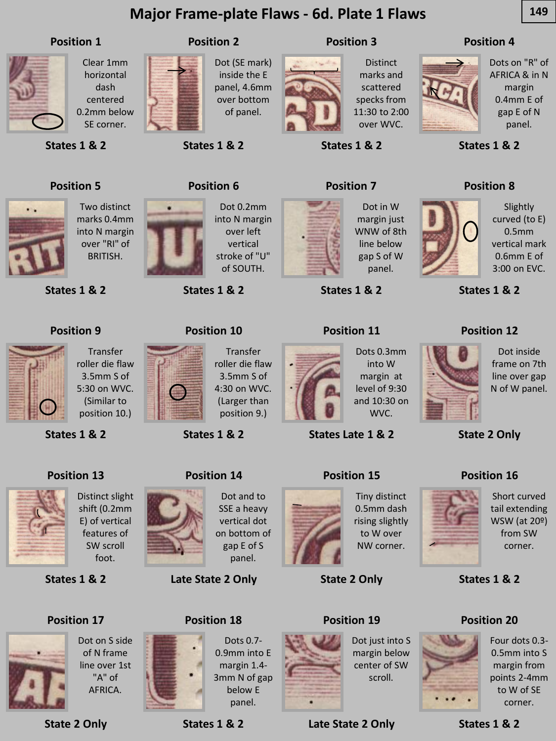# **Major Frame-plate Flaws - 6d. Plate 1 Flaws 149**

#### **Position 1**



Clear 1mm horizontal dash centered 0.2mm below SE corner.

**States 1 & 2**

# **Position 2**

Dot (SE mark) inside the E panel, 4.6mm over bottom of panel.



**Distinct** marks and scattered specks from 11:30 to 2:00 over WVC.

**Position 3**

**States 1 & 2**

#### **Position 4**



Dots on "R" of AFRICA & in N margin 0.4mm E of gap E of N panel.

Slightly curved (to E) 0.5mm vertical mark 0.6mm E of 3:00 on EVC.

**States 1 & 2**

**Position 8**

**States 1 & 2**

**Position 12**

# **Position 5**



**States 1 & 2**

**Position 9**



Dot 0.2mm into N margin over left vertical stroke of "U" of SOUTH.

**Transfer** 

**States 1 & 2**

**Position 10**

**States 1 & 2**

**Position 6**



Dot in W margin just WNW of 8th line below gap S of W panel.

**States 1 & 2**

### **Position 11**

into W WVC.

**States Late 1 & 2**

#### **Position 15**



Dot inside frame on 7th line over gap N of W panel.

**State 2 Only**

### **Position 16**



Short curved tail extending WSW (at 20º) from SW corner.

**States 1 & 2**

### **Position 20**



Four dots 0.3- 0.5mm into S margin from points 2-4mm to W of SE corner.

**States 1 & 2**



features of SW scroll foot.

BRITISH.

**States 1 & 2**

**Position 13**

(Larger than position 9.)

**States 1 & 2**

**Position 14**







Tiny distinct 0.5mm dash rising slightly to W over NW corner.

# **Position 19**



margin below center of SW scroll.

**Late State 2 Only**

# **Position 17**

**States 1 & 2**



Dot on S side of N frame line over 1st "A" of AFRICA.

**State 2 Only**

Distinct slight shift (0.2mm E) of vertical

Dot and to SSE a heavy vertical dot on bottom of gap E of S panel.

Dots 0.7- 0.9mm into E margin 1.4- 3mm N of gap below E panel.

**Late State 2 Only**

**Position 18**

**States 1 & 2**







Dot just into S

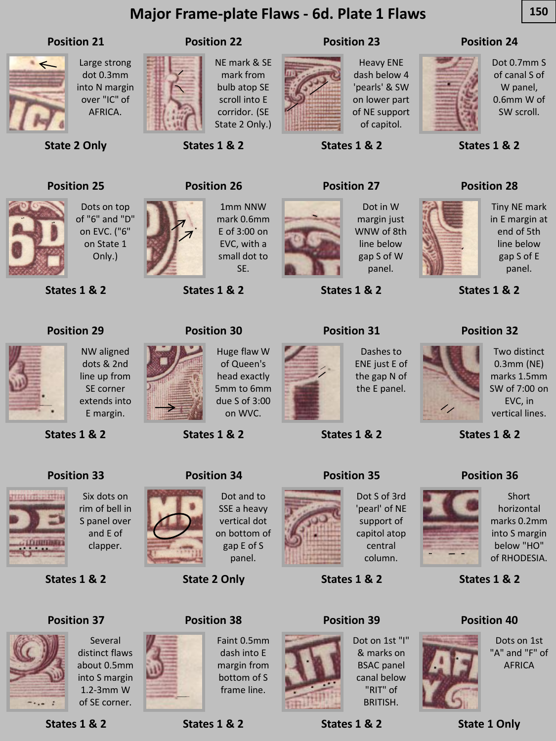# **Major Frame-plate Flaws - 6d. Plate 1 Flaws 150**

#### **Position 21**



Large strong dot 0.3mm into N margin over "IC" of AFRICA.



NE mark & SE mark from bulb atop SE scroll into E corridor. (SE State 2 Only.)



Heavy ENE dash below 4 'pearls' & SW on lower part of NE support of capitol.

### **Position 24**

Dot 0.7mm S of canal S of W panel,



0.6mm W of SW scroll.

**States 1 & 2**

**Position 28**

**States 1 & 2**

**Position 32**



**State 2 Only**

Dots on top of "6" and "D" on EVC. ("6" on State 1 Only.)

NW aligned dots & 2nd line up from SE corner extends into E margin.

**States 1 & 2**

**Position 29**



**Position 26**

**States 1 & 2**

**States 1 & 2**

**Position 22**

1mm NNW mark 0.6mm E of 3:00 on EVC, with a small dot to SE.



**States 1 & 2**

**Position 23**



Dashes to ENE just E of the gap N of the E panel.



Two distinct 0.3mm (NE) marks 1.5mm SW of 7:00 on EVC, in vertical lines.

**States 1 & 2**

### **Position 33**

**States 1 & 2**



Six dots on rim of bell in S panel over and E of clapper.

**States 1 & 2**

## **Position 37**



distinct flaws about 0.5mm into S margin 1.2-3mm W of SE corner.

Several

**States 1 & 2**

**States 1 & 2**



**Position 39**

Dot on 1st "I" & marks on BSAC panel canal below "RIT" of BRITISH.

**States 1 & 2**

**Position 36**



Short horizontal marks 0.2mm into S margin below "HO" of RHODESIA.

**States 1 & 2**

### **Position 40**



Dots on 1st "A" and "F" of AFRICA

**State 1 Only**



SSE a heavy vertical dot on bottom of gap E of S panel.

**State 2 Only**

**Position 38**



Dot S of 3rd 'pearl' of NE support of capitol atop central column.

**States 1 & 2**











margin just WNW of 8th line below gap S of W

# **Position 30**

Huge flaw W of Queen's head exactly 5mm to 6mm due S of 3:00 on WVC.

**States 1 & 2**



**States 1 & 2**

**Position 31**

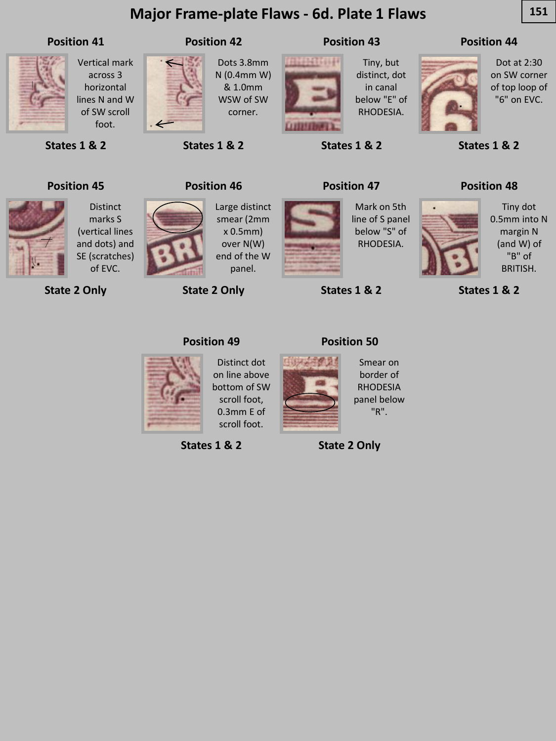# **Major Frame-plate Flaws - 6d. Plate 1 Flaws** 2012 151

### **Position 41**



Vertical mark across 3 horizontal lines N and W of SW scroll foot.

Distinct marks S (vertical lines and dots) and SE (scratches)



Dots 3.8mm N (0.4mm W) & 1.0mm WSW of SW corner.



**LITTLE** 

Tiny, but distinct, dot in canal below "E" of RHODESIA.

**States 1 & 2**

**Position 43**

**Position 47**

### **Position 44**



Dot at 2:30 on SW corner of top loop of "6" on EVC.

**States 1 & 2**

**Position 48**

## **Position 45**

**States 1 & 2**



**State 2 Only** of EVC.



Large distinct smear (2mm x 0.5mm) over N(W) end of the W panel.

**State 2 Only**



Mark on 5th line of S panel below "S" of RHODESIA.

**States 1 & 2**

Tiny dot 0.5mm into N margin N (and W) of "B" of BRITISH.

**States 1 & 2**



**Position 46**

**States 1 & 2**

**Position 42**





Distinct dot on line above bottom of SW scroll foot, 0.3mm E of scroll foot.

**States 1 & 2**





Smear on border of RHODESIA panel below "R".

**State 2 Only**